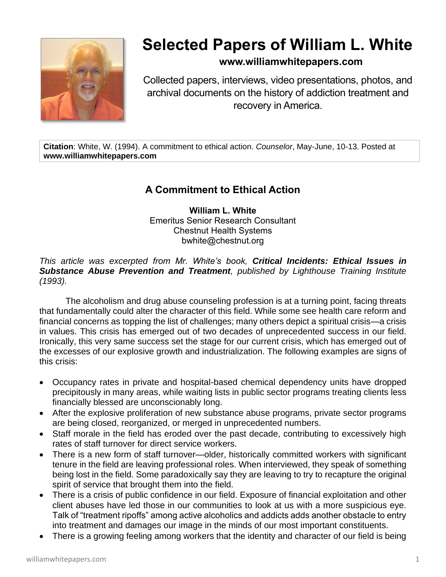

# **Selected Papers of William L. White**

### **www.williamwhitepapers.com**

Collected papers, interviews, video presentations, photos, and archival documents on the history of addiction treatment and recovery in America.

**Citation**: White, W. (1994). A commitment to ethical action. *Counselor*, May-June, 10-13. Posted at **www.williamwhitepapers.com**

## **A Commitment to Ethical Action**

**William L. White** Emeritus Senior Research Consultant Chestnut Health Systems bwhite@chestnut.org

*This article was excerpted from Mr. White's book, Critical Incidents: Ethical Issues in Substance Abuse Prevention and Treatment, published by Lighthouse Training Institute (1993).* 

The alcoholism and drug abuse counseling profession is at a turning point, facing threats that fundamentally could alter the character of this field. While some see health care reform and financial concerns as topping the list of challenges; many others depict a spiritual crisis—a crisis in values. This crisis has emerged out of two decades of unprecedented success in our field. Ironically, this very same success set the stage for our current crisis, which has emerged out of the excesses of our explosive growth and industrialization. The following examples are signs of this crisis:

- Occupancy rates in private and hospital-based chemical dependency units have dropped precipitously in many areas, while waiting lists in public sector programs treating clients less financially blessed are unconscionably long.
- After the explosive proliferation of new substance abuse programs, private sector programs are being closed, reorganized, or merged in unprecedented numbers.
- Staff morale in the field has eroded over the past decade, contributing to excessively high rates of staff turnover for direct service workers.
- There is a new form of staff turnover—older, historically committed workers with significant tenure in the field are leaving professional roles. When interviewed, they speak of something being lost in the field. Some paradoxically say they are leaving to try to recapture the original spirit of service that brought them into the field.
- There is a crisis of public confidence in our field. Exposure of financial exploitation and other client abuses have led those in our communities to look at us with a more suspicious eye. Talk of "treatment ripoffs" among active alcoholics and addicts adds another obstacle to entry into treatment and damages our image in the minds of our most important constituents.
- There is a growing feeling among workers that the identity and character of our field is being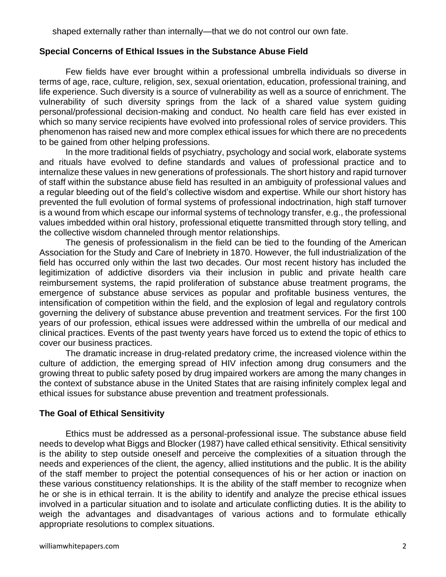shaped externally rather than internally—that we do not control our own fate.

#### **Special Concerns of Ethical Issues in the Substance Abuse Field**

Few fields have ever brought within a professional umbrella individuals so diverse in terms of age, race, culture, religion, sex, sexual orientation, education, professional training, and life experience. Such diversity is a source of vulnerability as well as a source of enrichment. The vulnerability of such diversity springs from the lack of a shared value system guiding personal/professional decision-making and conduct. No health care field has ever existed in which so many service recipients have evolved into professional roles of service providers. This phenomenon has raised new and more complex ethical issues for which there are no precedents to be gained from other helping professions.

In the more traditional fields of psychiatry, psychology and social work, elaborate systems and rituals have evolved to define standards and values of professional practice and to internalize these values in new generations of professionals. The short history and rapid turnover of staff within the substance abuse field has resulted in an ambiguity of professional values and a regular bleeding out of the field's collective wisdom and expertise. While our short history has prevented the full evolution of formal systems of professional indoctrination, high staff turnover is a wound from which escape our informal systems of technology transfer, e.g., the professional values imbedded within oral history, professional etiquette transmitted through story telling, and the collective wisdom channeled through mentor relationships.

The genesis of professionalism in the field can be tied to the founding of the American Association for the Study and Care of Inebriety in 1870. However, the full industrialization of the field has occurred only within the last two decades. Our most recent history has included the legitimization of addictive disorders via their inclusion in public and private health care reimbursement systems, the rapid proliferation of substance abuse treatment programs, the emergence of substance abuse services as popular and profitable business ventures, the intensification of competition within the field, and the explosion of legal and regulatory controls governing the delivery of substance abuse prevention and treatment services. For the first 100 years of our profession, ethical issues were addressed within the umbrella of our medical and clinical practices. Events of the past twenty years have forced us to extend the topic of ethics to cover our business practices.

The dramatic increase in drug-related predatory crime, the increased violence within the culture of addiction, the emerging spread of HIV infection among drug consumers and the growing threat to public safety posed by drug impaired workers are among the many changes in the context of substance abuse in the United States that are raising infinitely complex legal and ethical issues for substance abuse prevention and treatment professionals.

#### **The Goal of Ethical Sensitivity**

Ethics must be addressed as a personal-professional issue. The substance abuse field needs to develop what Biggs and Blocker (1987) have called ethical sensitivity. Ethical sensitivity is the ability to step outside oneself and perceive the complexities of a situation through the needs and experiences of the client, the agency, allied institutions and the public. It is the ability of the staff member to project the potential consequences of his or her action or inaction on these various constituency relationships. It is the ability of the staff member to recognize when he or she is in ethical terrain. It is the ability to identify and analyze the precise ethical issues involved in a particular situation and to isolate and articulate conflicting duties. It is the ability to weigh the advantages and disadvantages of various actions and to formulate ethically appropriate resolutions to complex situations.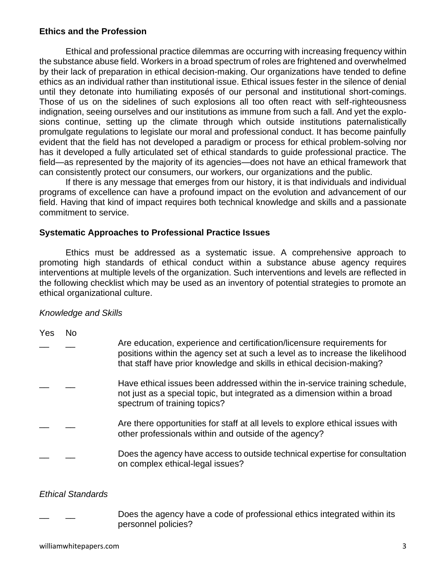#### **Ethics and the Profession**

Ethical and professional practice dilemmas are occurring with increasing frequency within the substance abuse field. Workers in a broad spectrum of roles are frightened and overwhelmed by their lack of preparation in ethical decision-making. Our organizations have tended to define ethics as an individual rather than institutional issue. Ethical issues fester in the silence of denial until they detonate into humiliating exposés of our personal and institutional short-comings. Those of us on the sidelines of such explosions all too often react with self-righteousness indignation, seeing ourselves and our institutions as immune from such a fall. And yet the explosions continue, setting up the climate through which outside institutions paternalistically promulgate regulations to legislate our moral and professional conduct. It has become painfully evident that the field has not developed a paradigm or process for ethical problem-solving nor has it developed a fully articulated set of ethical standards to guide professional practice. The field—as represented by the majority of its agencies—does not have an ethical framework that can consistently protect our consumers, our workers, our organizations and the public.

If there is any message that emerges from our history, it is that individuals and individual programs of excellence can have a profound impact on the evolution and advancement of our field. Having that kind of impact requires both technical knowledge and skills and a passionate commitment to service.

#### **Systematic Approaches to Professional Practice Issues**

Ethics must be addressed as a systematic issue. A comprehensive approach to promoting high standards of ethical conduct within a substance abuse agency requires interventions at multiple levels of the organization. Such interventions and levels are reflected in the following checklist which may be used as an inventory of potential strategies to promote an ethical organizational culture.

#### *Knowledge and Skills*

| <b>Yes</b> | No |                                                                                                                                                                                                                                   |
|------------|----|-----------------------------------------------------------------------------------------------------------------------------------------------------------------------------------------------------------------------------------|
|            |    | Are education, experience and certification/licensure requirements for<br>positions within the agency set at such a level as to increase the likelihood<br>that staff have prior knowledge and skills in ethical decision-making? |
|            |    | Have ethical issues been addressed within the in-service training schedule,<br>not just as a special topic, but integrated as a dimension within a broad<br>spectrum of training topics?                                          |
|            |    | Are there opportunities for staff at all levels to explore ethical issues with<br>other professionals within and outside of the agency?                                                                                           |
|            |    | Does the agency have access to outside technical expertise for consultation<br>on complex ethical-legal issues?                                                                                                                   |

#### *Ethical Standards*

Does the agency have a code of professional ethics integrated within its personnel policies?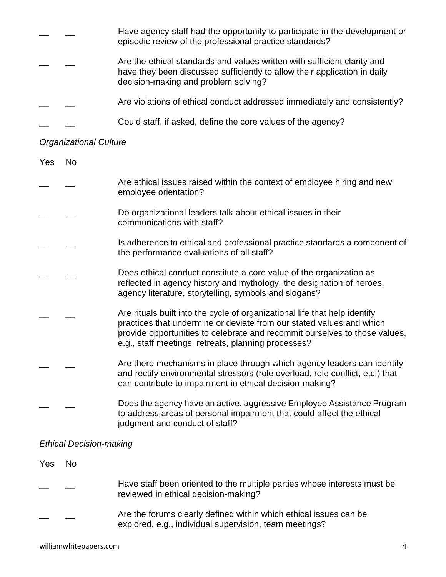|  | Have agency staff had the opportunity to participate in the development or<br>episodic review of the professional practice standards?                                                         |
|--|-----------------------------------------------------------------------------------------------------------------------------------------------------------------------------------------------|
|  | Are the ethical standards and values written with sufficient clarity and<br>have they been discussed sufficiently to allow their application in daily<br>decision-making and problem solving? |
|  | Are violations of ethical conduct addressed immediately and consistently?                                                                                                                     |
|  | Could staff, if asked, define the core values of the agency?                                                                                                                                  |

# *Organizational Culture*

| Yes | <b>No</b> |                                                                                                                                                                                                                                                                                         |
|-----|-----------|-----------------------------------------------------------------------------------------------------------------------------------------------------------------------------------------------------------------------------------------------------------------------------------------|
|     |           | Are ethical issues raised within the context of employee hiring and new<br>employee orientation?                                                                                                                                                                                        |
|     |           | Do organizational leaders talk about ethical issues in their<br>communications with staff?                                                                                                                                                                                              |
|     |           | Is adherence to ethical and professional practice standards a component of<br>the performance evaluations of all staff?                                                                                                                                                                 |
|     |           | Does ethical conduct constitute a core value of the organization as<br>reflected in agency history and mythology, the designation of heroes,<br>agency literature, storytelling, symbols and slogans?                                                                                   |
|     |           | Are rituals built into the cycle of organizational life that help identify<br>practices that undermine or deviate from our stated values and which<br>provide opportunities to celebrate and recommit ourselves to those values,<br>e.g., staff meetings, retreats, planning processes? |
|     |           | Are there mechanisms in place through which agency leaders can identify<br>and rectify environmental stressors (role overload, role conflict, etc.) that<br>can contribute to impairment in ethical decision-making?                                                                    |
|     |           | Does the agency have an active, aggressive Employee Assistance Program<br>to address areas of personal impairment that could affect the ethical<br>judgment and conduct of staff?                                                                                                       |

## *Ethical Decision-making*

| Yes | No. |                                                                                                                             |
|-----|-----|-----------------------------------------------------------------------------------------------------------------------------|
|     |     | Have staff been oriented to the multiple parties whose interests must be<br>reviewed in ethical decision-making?            |
|     |     | Are the forums clearly defined within which ethical issues can be<br>explored, e.g., individual supervision, team meetings? |